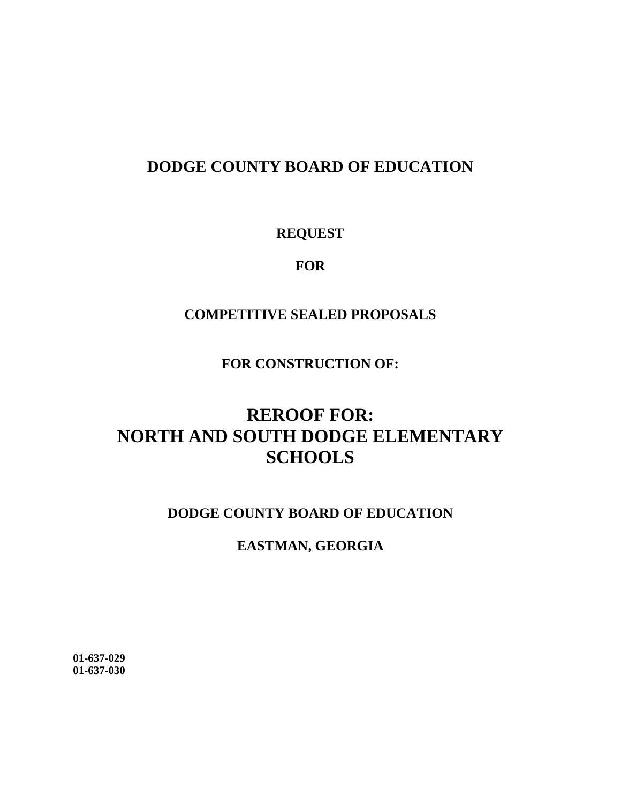# **DODGE COUNTY BOARD OF EDUCATION**

**REQUEST** 

**FOR**

# **COMPETITIVE SEALED PROPOSALS**

**FOR CONSTRUCTION OF:**

# **REROOF FOR: NORTH AND SOUTH DODGE ELEMENTARY SCHOOLS**

# **DODGE COUNTY BOARD OF EDUCATION**

# **EASTMAN, GEORGIA**

**01-637-029 01-637-030**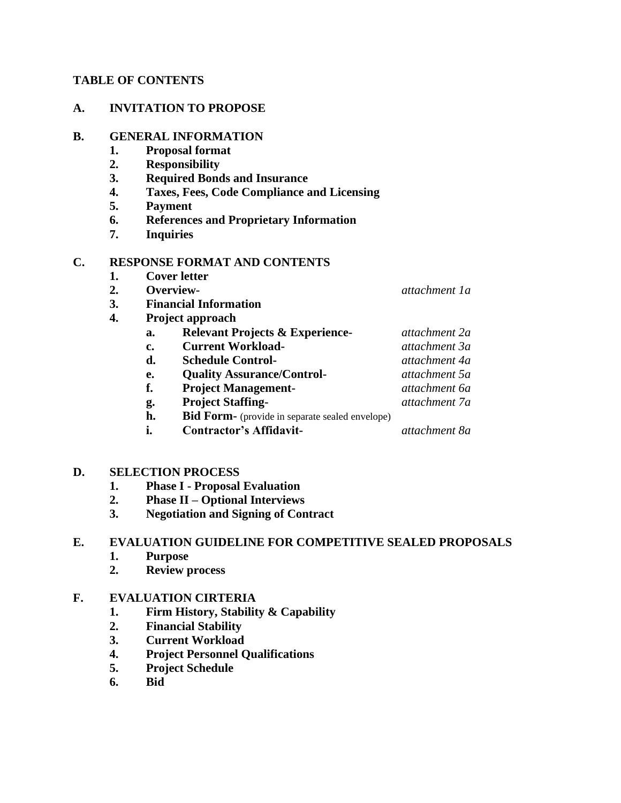#### **TABLE OF CONTENTS**

#### **A. INVITATION TO PROPOSE**

#### **B. GENERAL INFORMATION**

- **1. Proposal format**
- **2. Responsibility**
- **3. Required Bonds and Insurance**
- **4. Taxes, Fees, Code Compliance and Licensing**
- **5. Payment**
- **6. References and Proprietary Information**
- **7. Inquiries**

## **C. RESPONSE FORMAT AND CONTENTS**

- **1. Cover letter**
- **2. Overview-** *attachment 1a*
- **3. Financial Information**
- **4. Project approach**

| a. | <b>Relevant Projects &amp; Experience-</b> | attachment 2a |
|----|--------------------------------------------|---------------|
| c. | <b>Current Workload-</b>                   | attachment 3a |
| d. | <b>Schedule Control-</b>                   | attachment 4a |
| e. | <b>Quality Assurance/Control-</b>          | attachment 5a |
| f. | <b>Project Management-</b>                 | attachment 6a |
| g. | <b>Project Staffing-</b>                   | attachment 7a |

- 
- **h. Bid Form-** (provide in separate sealed envelope)
- **i. Contractor's Affidavit-** *attachment 8a*

## **D. SELECTION PROCESS**

- **1. Phase I - Proposal Evaluation**
- **2. Phase II – Optional Interviews**
- **3. Negotiation and Signing of Contract**

## **E. EVALUATION GUIDELINE FOR COMPETITIVE SEALED PROPOSALS**

- **1. Purpose**
- **2. Review process**

## **F. EVALUATION CIRTERIA**

- **1. Firm History, Stability & Capability**
- **2. Financial Stability**
- **3. Current Workload**
- **4. Project Personnel Qualifications**
- **5. Project Schedule**
- **6. Bid**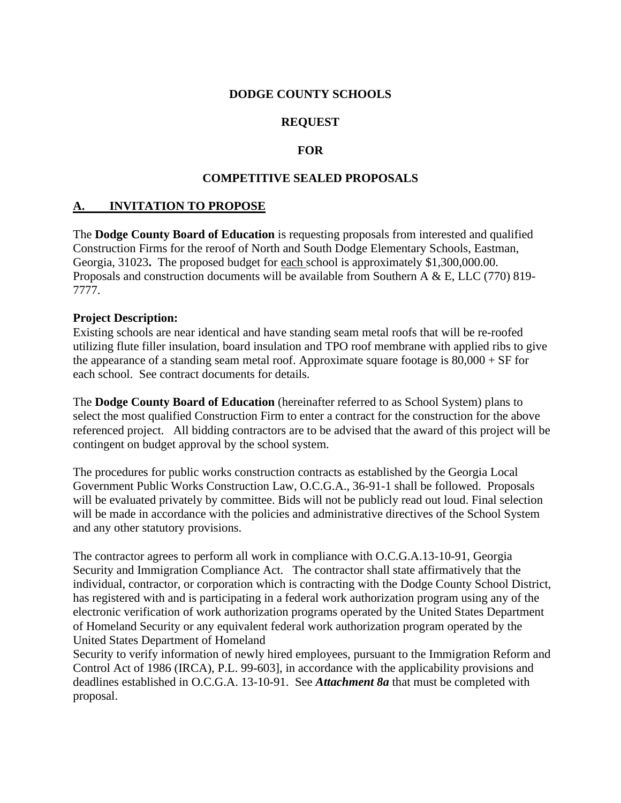#### **DODGE COUNTY SCHOOLS**

### **REQUEST**

#### **FOR**

#### **COMPETITIVE SEALED PROPOSALS**

#### **A. INVITATION TO PROPOSE**

The **Dodge County Board of Education** is requesting proposals from interested and qualified Construction Firms for the reroof of North and South Dodge Elementary Schools, Eastman, Georgia, 31023**.** The proposed budget for each school is approximately \$1,300,000.00. Proposals and construction documents will be available from Southern A & E, LLC (770) 819- 7777.

#### **Project Description:**

Existing schools are near identical and have standing seam metal roofs that will be re-roofed utilizing flute filler insulation, board insulation and TPO roof membrane with applied ribs to give the appearance of a standing seam metal roof. Approximate square footage is 80,000 + SF for each school. See contract documents for details.

The **Dodge County Board of Education** (hereinafter referred to as School System) plans to select the most qualified Construction Firm to enter a contract for the construction for the above referenced project. All bidding contractors are to be advised that the award of this project will be contingent on budget approval by the school system.

The procedures for public works construction contracts as established by the Georgia Local Government Public Works Construction Law, O.C.G.A., 36-91-1 shall be followed. Proposals will be evaluated privately by committee. Bids will not be publicly read out loud. Final selection will be made in accordance with the policies and administrative directives of the School System and any other statutory provisions.

The contractor agrees to perform all work in compliance with O.C.G.A.13-10-91, Georgia Security and Immigration Compliance Act. The contractor shall state affirmatively that the individual, contractor, or corporation which is contracting with the Dodge County School District, has registered with and is participating in a federal work authorization program using any of the electronic verification of work authorization programs operated by the United States Department of Homeland Security or any equivalent federal work authorization program operated by the United States Department of Homeland

Security to verify information of newly hired employees, pursuant to the Immigration Reform and Control Act of 1986 (IRCA), P.L. 99-603], in accordance with the applicability provisions and deadlines established in O.C.G.A. 13-10-91. See *Attachment 8a* that must be completed with proposal.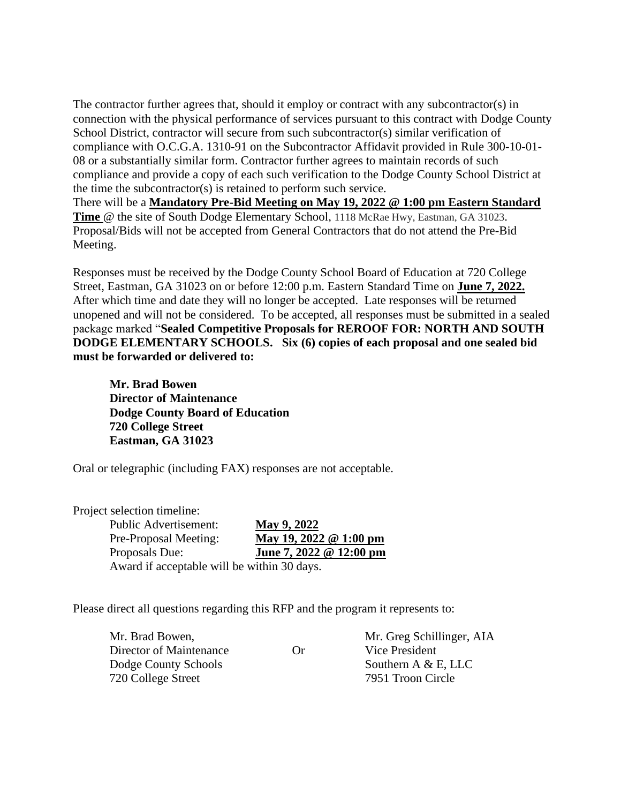The contractor further agrees that, should it employ or contract with any subcontractor(s) in connection with the physical performance of services pursuant to this contract with Dodge County School District, contractor will secure from such subcontractor(s) similar verification of compliance with O.C.G.A. 1310-91 on the Subcontractor Affidavit provided in Rule 300-10-01- 08 or a substantially similar form. Contractor further agrees to maintain records of such compliance and provide a copy of each such verification to the Dodge County School District at the time the subcontractor(s) is retained to perform such service. There will be a **Mandatory Pre-Bid Meeting on May 19, 2022 @ 1:00 pm Eastern Standard Time** @ the site of South Dodge Elementary School, 1118 McRae Hwy, Eastman, GA 31023. Proposal/Bids will not be accepted from General Contractors that do not attend the Pre-Bid Meeting.

Responses must be received by the Dodge County School Board of Education at 720 College Street, Eastman, GA 31023 on or before 12:00 p.m. Eastern Standard Time on **June 7, 2022.** After which time and date they will no longer be accepted. Late responses will be returned unopened and will not be considered. To be accepted, all responses must be submitted in a sealed package marked "**Sealed Competitive Proposals for REROOF FOR: NORTH AND SOUTH DODGE ELEMENTARY SCHOOLS. Six (6) copies of each proposal and one sealed bid must be forwarded or delivered to:**

**Mr. Brad Bowen Director of Maintenance Dodge County Board of Education 720 College Street Eastman, GA 31023**

Oral or telegraphic (including FAX) responses are not acceptable.

Project selection timeline:

Public Advertisement: **May 9, 2022**  Pre-Proposal Meeting: **May 19, 2022 @ 1:00 pm** Proposals Due: **June 7, 2022 @ 12:00 pm** Award if acceptable will be within 30 days.

Please direct all questions regarding this RFP and the program it represents to:

Director of Maintenance Or Vice President Dodge County Schools Southern A & E, LLC 720 College Street 7951 Troon Circle

Mr. Brad Bowen, Mr. Greg Schillinger, AIA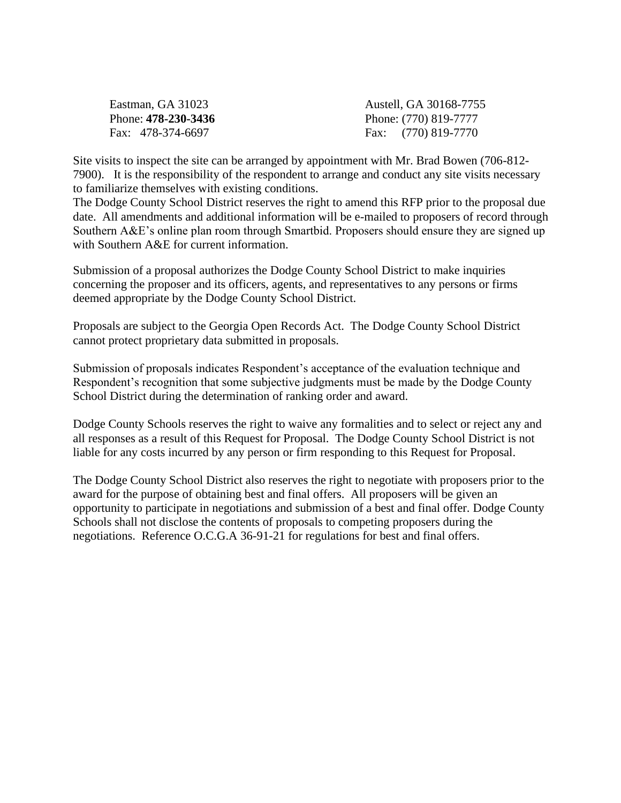Eastman, GA 31023 Austell, GA 30168-7755 Phone: **478-230-3436** Phone: (770) 819-7777 Fax: 478-374-6697 Fax: (770) 819-7770

Site visits to inspect the site can be arranged by appointment with Mr. Brad Bowen (706-812- 7900).It is the responsibility of the respondent to arrange and conduct any site visits necessary to familiarize themselves with existing conditions.

The Dodge County School District reserves the right to amend this RFP prior to the proposal due date. All amendments and additional information will be e-mailed to proposers of record through Southern A&E's online plan room through Smartbid. Proposers should ensure they are signed up with Southern A&E for current information.

Submission of a proposal authorizes the Dodge County School District to make inquiries concerning the proposer and its officers, agents, and representatives to any persons or firms deemed appropriate by the Dodge County School District.

Proposals are subject to the Georgia Open Records Act. The Dodge County School District cannot protect proprietary data submitted in proposals.

Submission of proposals indicates Respondent's acceptance of the evaluation technique and Respondent's recognition that some subjective judgments must be made by the Dodge County School District during the determination of ranking order and award.

Dodge County Schools reserves the right to waive any formalities and to select or reject any and all responses as a result of this Request for Proposal. The Dodge County School District is not liable for any costs incurred by any person or firm responding to this Request for Proposal.

The Dodge County School District also reserves the right to negotiate with proposers prior to the award for the purpose of obtaining best and final offers. All proposers will be given an opportunity to participate in negotiations and submission of a best and final offer. Dodge County Schools shall not disclose the contents of proposals to competing proposers during the negotiations. Reference O.C.G.A 36-91-21 for regulations for best and final offers.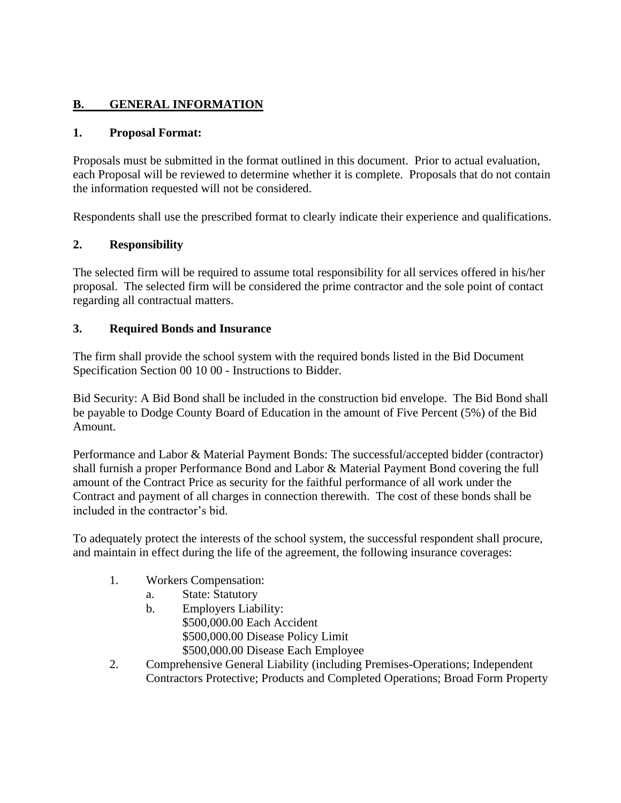# **B. GENERAL INFORMATION**

### **1. Proposal Format:**

Proposals must be submitted in the format outlined in this document. Prior to actual evaluation, each Proposal will be reviewed to determine whether it is complete. Proposals that do not contain the information requested will not be considered.

Respondents shall use the prescribed format to clearly indicate their experience and qualifications.

#### **2. Responsibility**

The selected firm will be required to assume total responsibility for all services offered in his/her proposal. The selected firm will be considered the prime contractor and the sole point of contact regarding all contractual matters.

#### **3. Required Bonds and Insurance**

The firm shall provide the school system with the required bonds listed in the Bid Document Specification Section 00 10 00 - Instructions to Bidder.

Bid Security: A Bid Bond shall be included in the construction bid envelope. The Bid Bond shall be payable to Dodge County Board of Education in the amount of Five Percent (5%) of the Bid Amount.

Performance and Labor & Material Payment Bonds: The successful/accepted bidder (contractor) shall furnish a proper Performance Bond and Labor & Material Payment Bond covering the full amount of the Contract Price as security for the faithful performance of all work under the Contract and payment of all charges in connection therewith. The cost of these bonds shall be included in the contractor's bid.

To adequately protect the interests of the school system, the successful respondent shall procure, and maintain in effect during the life of the agreement, the following insurance coverages:

- 1. Workers Compensation:
	- a. State: Statutory
	- b. Employers Liability: \$500,000.00 Each Accident \$500,000.00 Disease Policy Limit \$500,000.00 Disease Each Employee
- 2. Comprehensive General Liability (including Premises-Operations; Independent Contractors Protective; Products and Completed Operations; Broad Form Property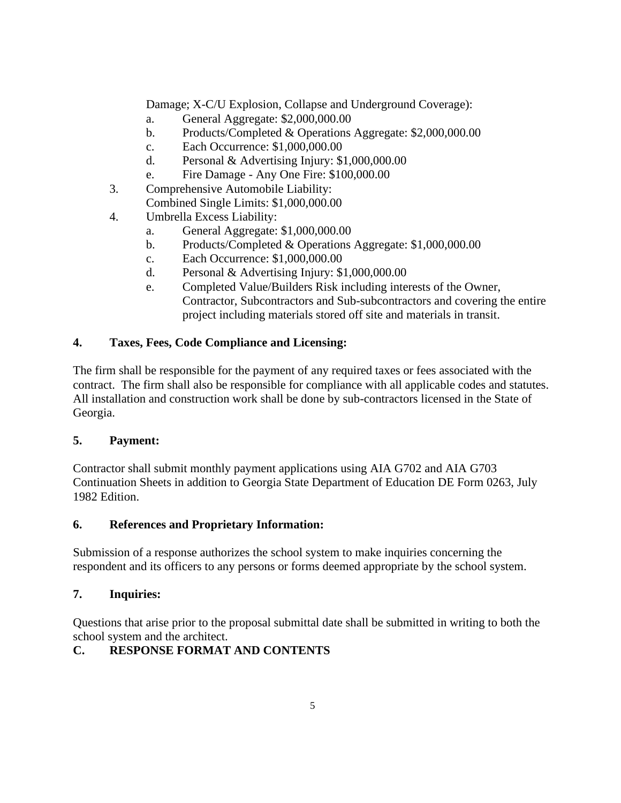Damage; X-C/U Explosion, Collapse and Underground Coverage):

- a. General Aggregate: \$2,000,000.00
- b. Products/Completed & Operations Aggregate: \$2,000,000.00
- c. Each Occurrence: \$1,000,000.00
- d. Personal & Advertising Injury: \$1,000,000.00
- e. Fire Damage Any One Fire: \$100,000.00
- 3. Comprehensive Automobile Liability: Combined Single Limits: \$1,000,000.00
- 4. Umbrella Excess Liability:
	- a. General Aggregate: \$1,000,000.00
	- b. Products/Completed & Operations Aggregate: \$1,000,000.00
	- c. Each Occurrence: \$1,000,000.00
	- d. Personal & Advertising Injury: \$1,000,000.00
	- e. Completed Value/Builders Risk including interests of the Owner, Contractor, Subcontractors and Sub-subcontractors and covering the entire project including materials stored off site and materials in transit.

## **4. Taxes, Fees, Code Compliance and Licensing:**

The firm shall be responsible for the payment of any required taxes or fees associated with the contract. The firm shall also be responsible for compliance with all applicable codes and statutes. All installation and construction work shall be done by sub-contractors licensed in the State of Georgia.

## **5. Payment:**

Contractor shall submit monthly payment applications using AIA G702 and AIA G703 Continuation Sheets in addition to Georgia State Department of Education DE Form 0263, July 1982 Edition.

## **6. References and Proprietary Information:**

Submission of a response authorizes the school system to make inquiries concerning the respondent and its officers to any persons or forms deemed appropriate by the school system.

## **7. Inquiries:**

Questions that arise prior to the proposal submittal date shall be submitted in writing to both the school system and the architect.

## **C. RESPONSE FORMAT AND CONTENTS**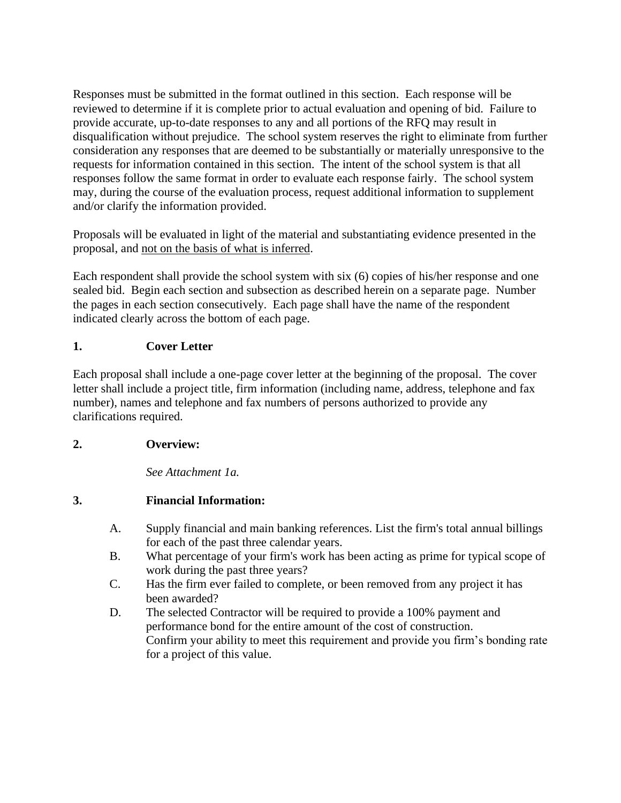Responses must be submitted in the format outlined in this section. Each response will be reviewed to determine if it is complete prior to actual evaluation and opening of bid. Failure to provide accurate, up-to-date responses to any and all portions of the RFQ may result in disqualification without prejudice. The school system reserves the right to eliminate from further consideration any responses that are deemed to be substantially or materially unresponsive to the requests for information contained in this section. The intent of the school system is that all responses follow the same format in order to evaluate each response fairly. The school system may, during the course of the evaluation process, request additional information to supplement and/or clarify the information provided.

Proposals will be evaluated in light of the material and substantiating evidence presented in the proposal, and not on the basis of what is inferred.

Each respondent shall provide the school system with six (6) copies of his/her response and one sealed bid. Begin each section and subsection as described herein on a separate page. Number the pages in each section consecutively. Each page shall have the name of the respondent indicated clearly across the bottom of each page.

# **1. Cover Letter**

Each proposal shall include a one-page cover letter at the beginning of the proposal. The cover letter shall include a project title, firm information (including name, address, telephone and fax number), names and telephone and fax numbers of persons authorized to provide any clarifications required.

# **2. Overview:**

*See Attachment 1a.*

# **3. Financial Information:**

- A. Supply financial and main banking references. List the firm's total annual billings for each of the past three calendar years.
- B. What percentage of your firm's work has been acting as prime for typical scope of work during the past three years?
- C. Has the firm ever failed to complete, or been removed from any project it has been awarded?
- D. The selected Contractor will be required to provide a 100% payment and performance bond for the entire amount of the cost of construction. Confirm your ability to meet this requirement and provide you firm's bonding rate for a project of this value.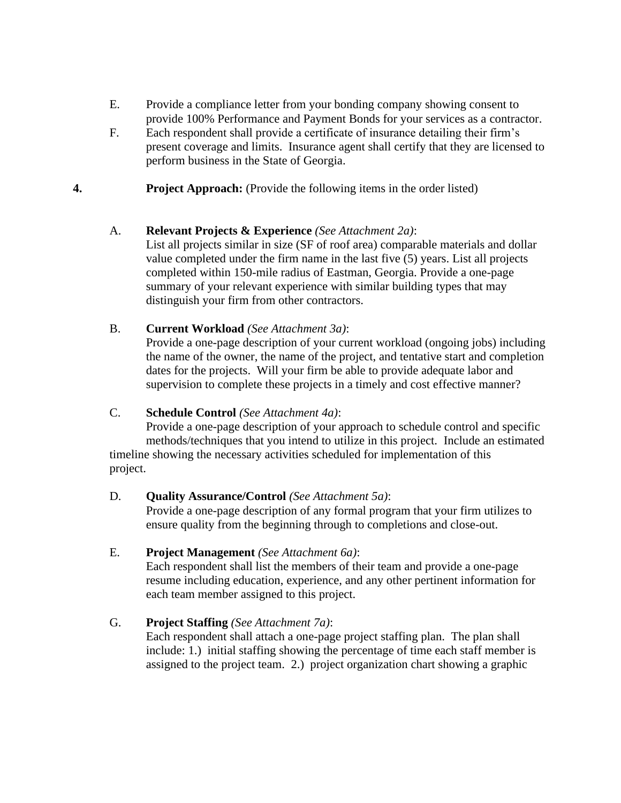- E. Provide a compliance letter from your bonding company showing consent to provide 100% Performance and Payment Bonds for your services as a contractor.
- F. Each respondent shall provide a certificate of insurance detailing their firm's present coverage and limits. Insurance agent shall certify that they are licensed to perform business in the State of Georgia.
- **4. Project Approach:** (Provide the following items in the order listed)

#### A. **Relevant Projects & Experience** *(See Attachment 2a)*:

List all projects similar in size (SF of roof area) comparable materials and dollar value completed under the firm name in the last five (5) years. List all projects completed within 150-mile radius of Eastman, Georgia. Provide a one-page summary of your relevant experience with similar building types that may distinguish your firm from other contractors.

## B. **Current Workload** *(See Attachment 3a)*:

Provide a one-page description of your current workload (ongoing jobs) including the name of the owner, the name of the project, and tentative start and completion dates for the projects. Will your firm be able to provide adequate labor and supervision to complete these projects in a timely and cost effective manner?

## C. **Schedule Control** *(See Attachment 4a)*:

Provide a one-page description of your approach to schedule control and specific methods/techniques that you intend to utilize in this project. Include an estimated timeline showing the necessary activities scheduled for implementation of this project.

#### D. **Quality Assurance/Control** *(See Attachment 5a)*:

Provide a one-page description of any formal program that your firm utilizes to ensure quality from the beginning through to completions and close-out.

#### E. **Project Management** *(See Attachment 6a)*:

Each respondent shall list the members of their team and provide a one-page resume including education, experience, and any other pertinent information for each team member assigned to this project.

## G. **Project Staffing** *(See Attachment 7a)*:

Each respondent shall attach a one-page project staffing plan. The plan shall include: 1.) initial staffing showing the percentage of time each staff member is assigned to the project team. 2.) project organization chart showing a graphic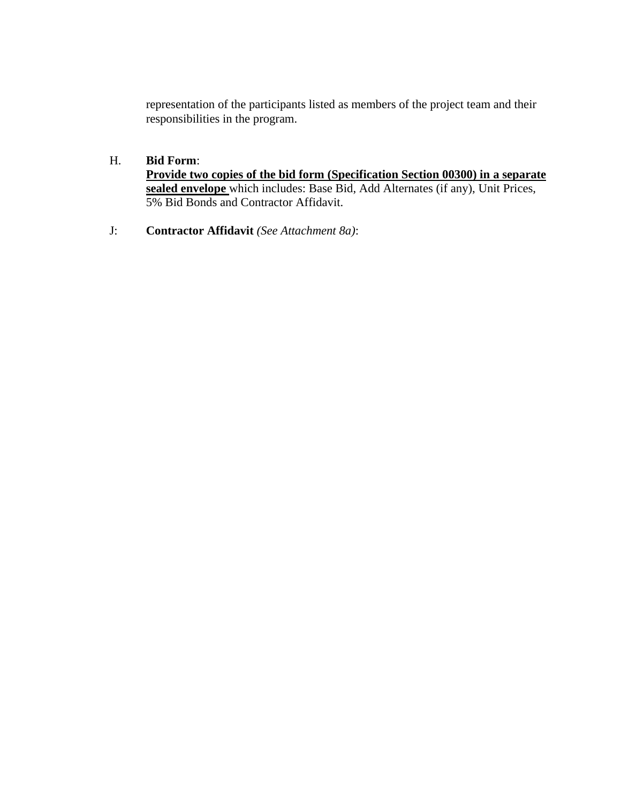representation of the participants listed as members of the project team and their responsibilities in the program.

## H. **Bid Form**:

**Provide two copies of the bid form (Specification Section 00300) in a separate sealed envelope** which includes: Base Bid, Add Alternates (if any), Unit Prices, 5% Bid Bonds and Contractor Affidavit.

J: **Contractor Affidavit** *(See Attachment 8a)*: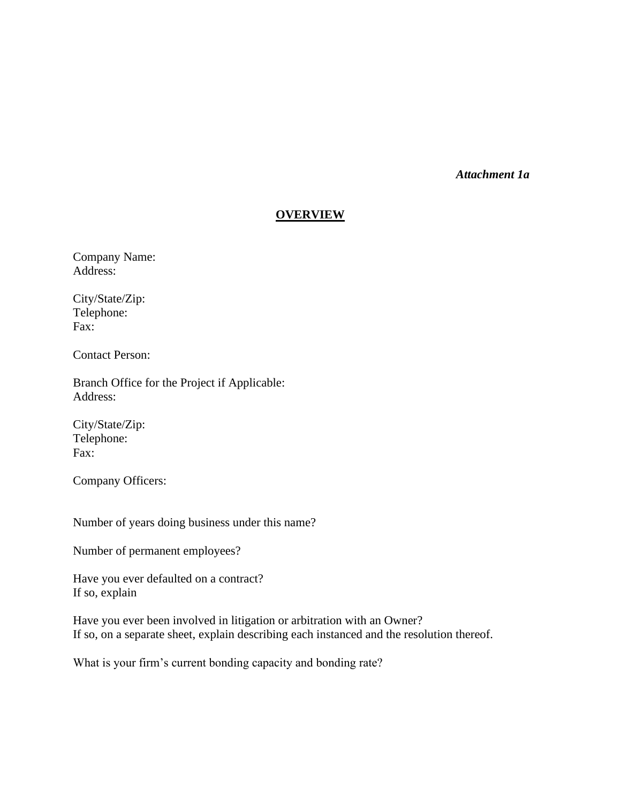*Attachment 1a*

#### **OVERVIEW**

Company Name: Address:

City/State/Zip: Telephone: Fax:

Contact Person:

Branch Office for the Project if Applicable: Address:

City/State/Zip: Telephone: Fax:

Company Officers:

Number of years doing business under this name?

Number of permanent employees?

Have you ever defaulted on a contract? If so, explain

Have you ever been involved in litigation or arbitration with an Owner? If so, on a separate sheet, explain describing each instanced and the resolution thereof.

What is your firm's current bonding capacity and bonding rate?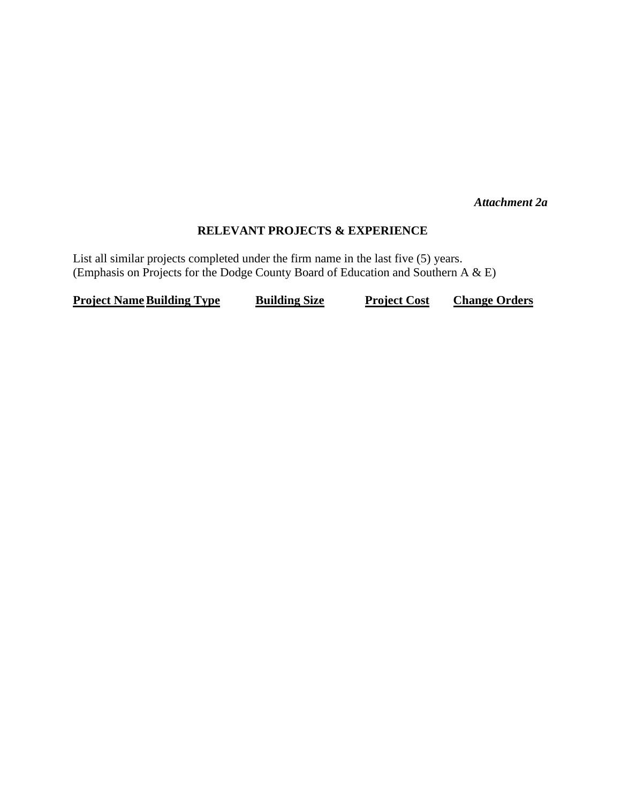*Attachment 2a*

### **RELEVANT PROJECTS & EXPERIENCE**

List all similar projects completed under the firm name in the last five (5) years. (Emphasis on Projects for the Dodge County Board of Education and Southern A & E)

**Project Name Building Type <b>Building Size Project Cost Change Orders**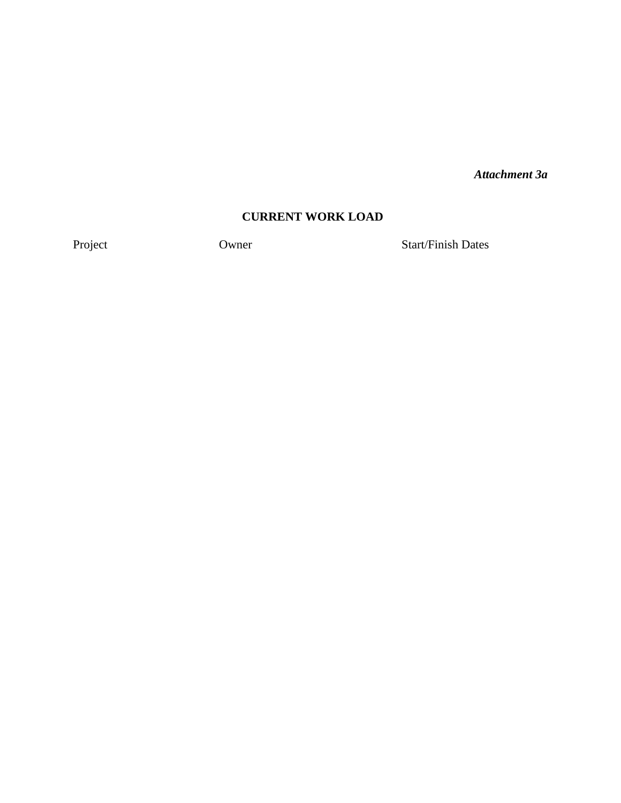*Attachment 3a*

## **CURRENT WORK LOAD**

Project Owner Start/Finish Dates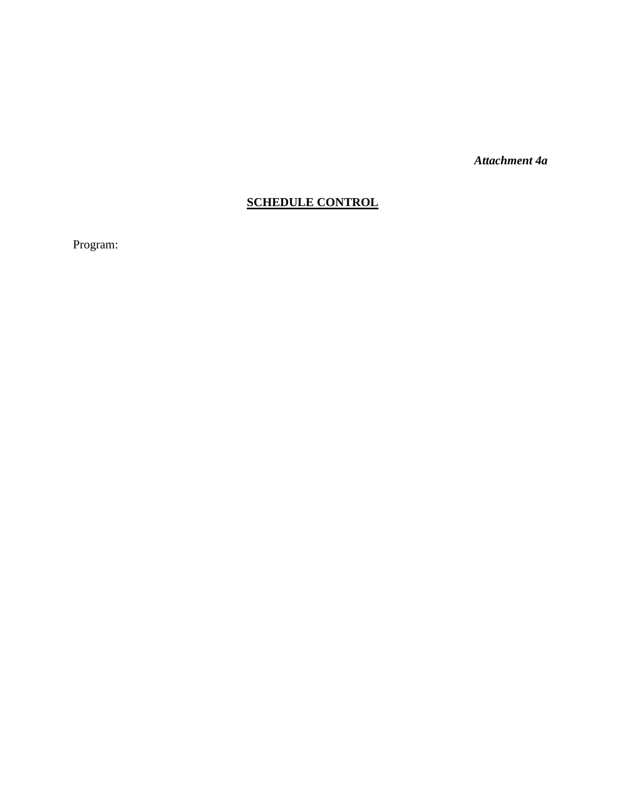*Attachment 4a*

# **SCHEDULE CONTROL**

Program: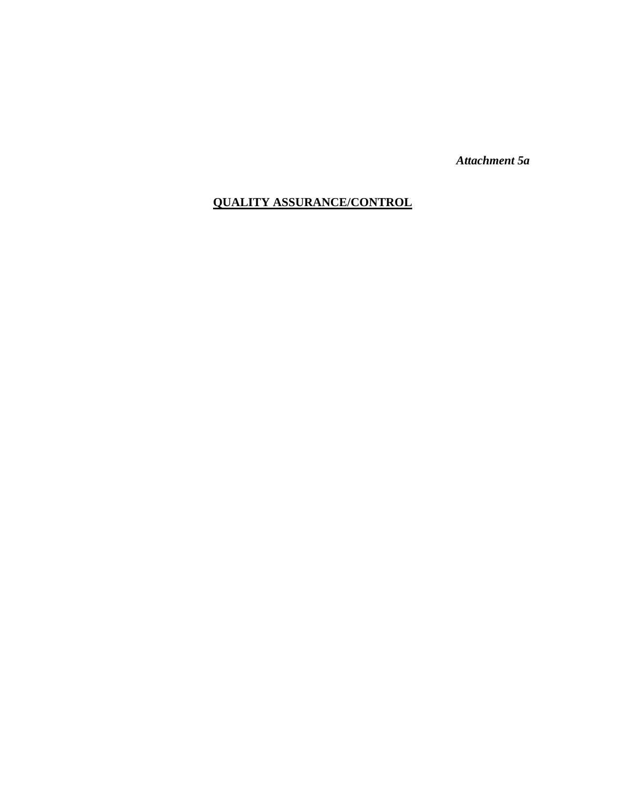*Attachment 5a*

# **QUALITY ASSURANCE/CONTROL**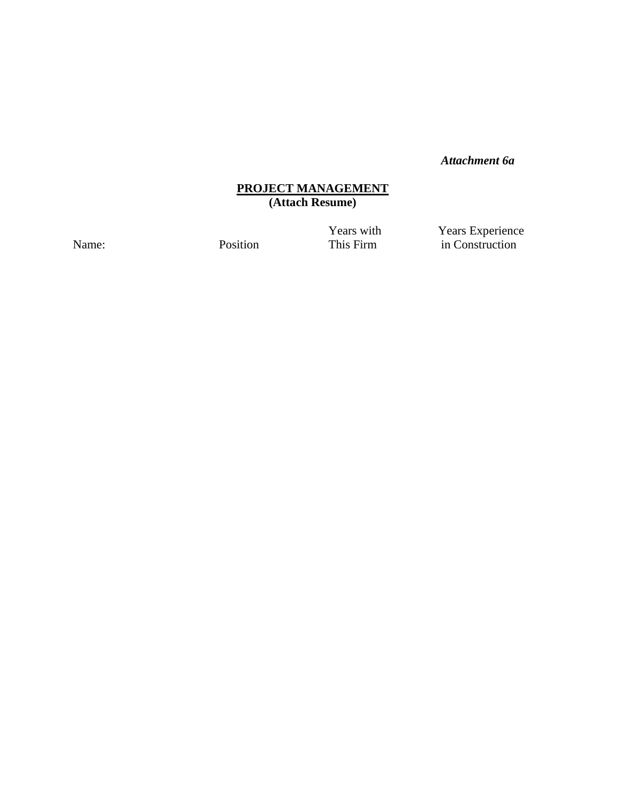### *Attachment 6a*

#### **PROJECT MANAGEMENT (Attach Resume)**

**Years with Years Experience** Name: Position **Provident Position** This Firm in Construction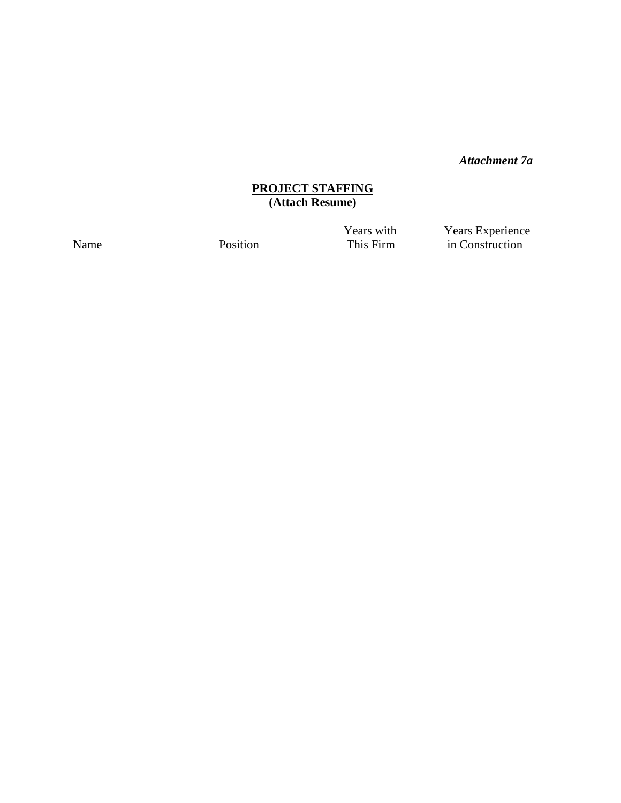*Attachment 7a*

#### **PROJECT STAFFING (Attach Resume)**

Years with **Years Experience** Name Position Position This Firm in Construction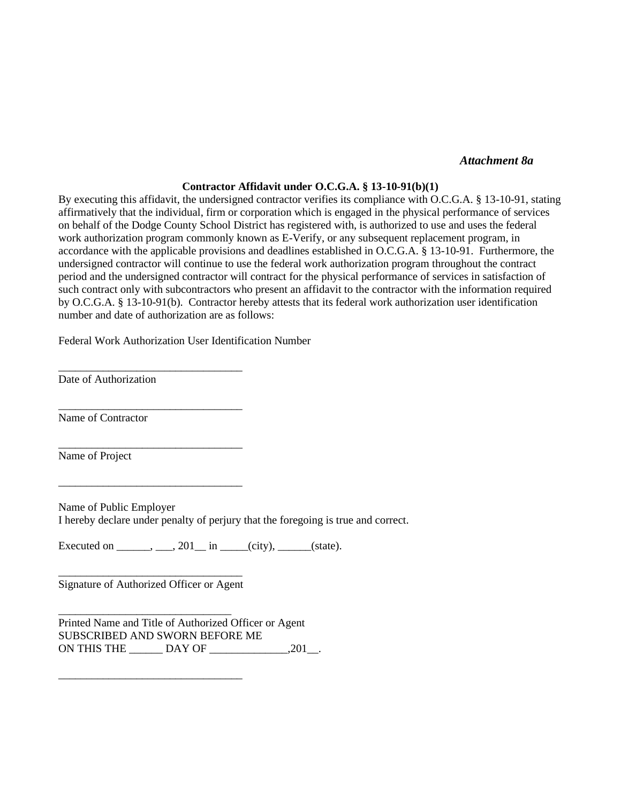#### *Attachment 8a*

#### **Contractor Affidavit under O.C.G.A. § 13-10-91(b)(1)**

By executing this affidavit, the undersigned contractor verifies its compliance with O.C.G.A. § 13-10-91, stating affirmatively that the individual, firm or corporation which is engaged in the physical performance of services on behalf of the Dodge County School District has registered with, is authorized to use and uses the federal work authorization program commonly known as E-Verify, or any subsequent replacement program, in accordance with the applicable provisions and deadlines established in O.C.G.A. § 13-10-91. Furthermore, the undersigned contractor will continue to use the federal work authorization program throughout the contract period and the undersigned contractor will contract for the physical performance of services in satisfaction of such contract only with subcontractors who present an affidavit to the contractor with the information required by O.C.G.A. § 13-10-91(b). Contractor hereby attests that its federal work authorization user identification number and date of authorization are as follows:

Federal Work Authorization User Identification Number

\_\_\_\_\_\_\_\_\_\_\_\_\_\_\_\_\_\_\_\_\_\_\_\_\_\_\_\_\_\_\_\_\_

\_\_\_\_\_\_\_\_\_\_\_\_\_\_\_\_\_\_\_\_\_\_\_\_\_\_\_\_\_\_\_\_\_

\_\_\_\_\_\_\_\_\_\_\_\_\_\_\_\_\_\_\_\_\_\_\_\_\_\_\_\_\_\_\_\_\_

\_\_\_\_\_\_\_\_\_\_\_\_\_\_\_\_\_\_\_\_\_\_\_\_\_\_\_\_\_\_\_\_\_

Date of Authorization

Name of Contractor

Name of Project

Name of Public Employer I hereby declare under penalty of perjury that the foregoing is true and correct.

Executed on  $\_\_\_\_\_\_$ ,  $\_\_$ 201 $\_\_\_\_\$ in  $\_\_\_\_$ (city),  $\_\_\_\_$ (state).

\_\_\_\_\_\_\_\_\_\_\_\_\_\_\_\_\_\_\_\_\_\_\_\_\_\_\_\_\_\_\_\_\_ Signature of Authorized Officer or Agent

\_\_\_\_\_\_\_\_\_\_\_\_\_\_\_\_\_\_\_\_\_\_\_\_\_\_\_\_\_\_\_

\_\_\_\_\_\_\_\_\_\_\_\_\_\_\_\_\_\_\_\_\_\_\_\_\_\_\_\_\_\_\_\_\_

Printed Name and Title of Authorized Officer or Agent SUBSCRIBED AND SWORN BEFORE ME ON THIS THE \_\_\_\_\_\_ DAY OF \_\_\_\_\_\_\_\_\_\_\_\_\_\_,201\_\_.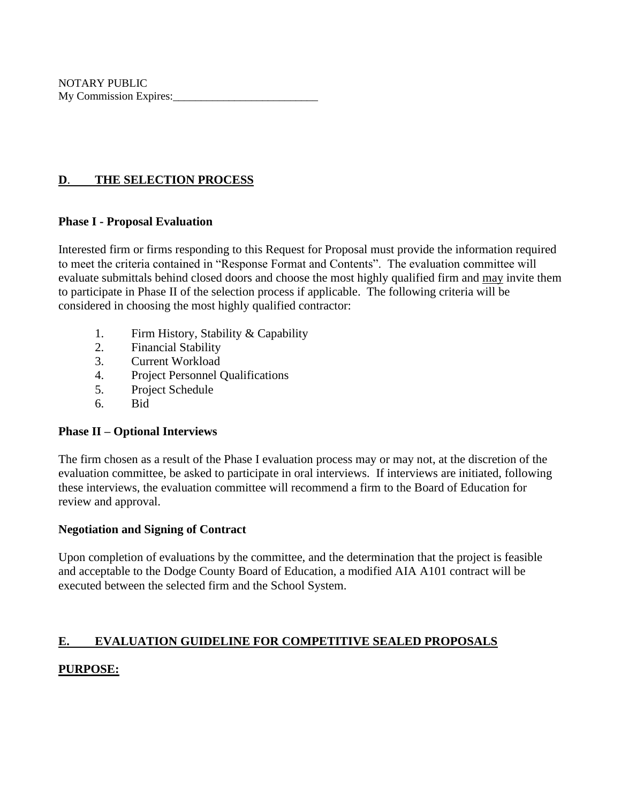NOTARY PUBLIC My Commission Expires:

## **D**. **THE SELECTION PROCESS**

#### **Phase I - Proposal Evaluation**

Interested firm or firms responding to this Request for Proposal must provide the information required to meet the criteria contained in "Response Format and Contents". The evaluation committee will evaluate submittals behind closed doors and choose the most highly qualified firm and may invite them to participate in Phase II of the selection process if applicable. The following criteria will be considered in choosing the most highly qualified contractor:

- 1. Firm History, Stability & Capability
- 2. Financial Stability
- 3. Current Workload
- 4. Project Personnel Qualifications
- 5. Project Schedule
- 6. Bid

## **Phase II – Optional Interviews**

The firm chosen as a result of the Phase I evaluation process may or may not, at the discretion of the evaluation committee, be asked to participate in oral interviews. If interviews are initiated, following these interviews, the evaluation committee will recommend a firm to the Board of Education for review and approval.

#### **Negotiation and Signing of Contract**

Upon completion of evaluations by the committee, and the determination that the project is feasible and acceptable to the Dodge County Board of Education, a modified AIA A101 contract will be executed between the selected firm and the School System.

## **E. EVALUATION GUIDELINE FOR COMPETITIVE SEALED PROPOSALS**

# **PURPOSE:**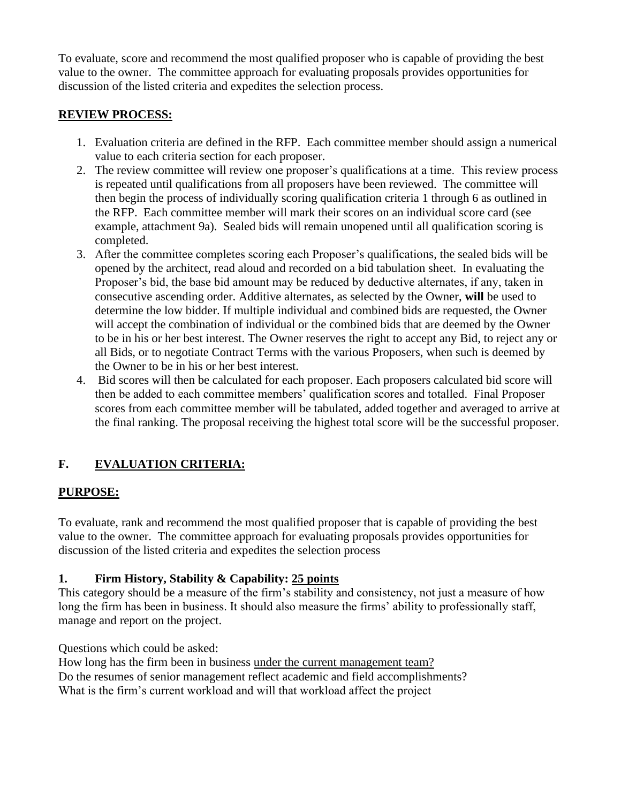To evaluate, score and recommend the most qualified proposer who is capable of providing the best value to the owner. The committee approach for evaluating proposals provides opportunities for discussion of the listed criteria and expedites the selection process.

## **REVIEW PROCESS:**

- 1. Evaluation criteria are defined in the RFP. Each committee member should assign a numerical value to each criteria section for each proposer.
- 2. The review committee will review one proposer's qualifications at a time. This review process is repeated until qualifications from all proposers have been reviewed. The committee will then begin the process of individually scoring qualification criteria 1 through 6 as outlined in the RFP. Each committee member will mark their scores on an individual score card (see example, attachment 9a). Sealed bids will remain unopened until all qualification scoring is completed.
- 3. After the committee completes scoring each Proposer's qualifications, the sealed bids will be opened by the architect, read aloud and recorded on a bid tabulation sheet. In evaluating the Proposer's bid, the base bid amount may be reduced by deductive alternates, if any, taken in consecutive ascending order. Additive alternates, as selected by the Owner, **will** be used to determine the low bidder. If multiple individual and combined bids are requested, the Owner will accept the combination of individual or the combined bids that are deemed by the Owner to be in his or her best interest. The Owner reserves the right to accept any Bid, to reject any or all Bids, or to negotiate Contract Terms with the various Proposers, when such is deemed by the Owner to be in his or her best interest.
- 4. Bid scores will then be calculated for each proposer. Each proposers calculated bid score will then be added to each committee members' qualification scores and totalled. Final Proposer scores from each committee member will be tabulated, added together and averaged to arrive at the final ranking. The proposal receiving the highest total score will be the successful proposer.

# **F. EVALUATION CRITERIA:**

# **PURPOSE:**

To evaluate, rank and recommend the most qualified proposer that is capable of providing the best value to the owner. The committee approach for evaluating proposals provides opportunities for discussion of the listed criteria and expedites the selection process

# **1. Firm History, Stability & Capability: 25 points**

This category should be a measure of the firm's stability and consistency, not just a measure of how long the firm has been in business. It should also measure the firms' ability to professionally staff, manage and report on the project.

Questions which could be asked:

How long has the firm been in business under the current management team? Do the resumes of senior management reflect academic and field accomplishments? What is the firm's current workload and will that workload affect the project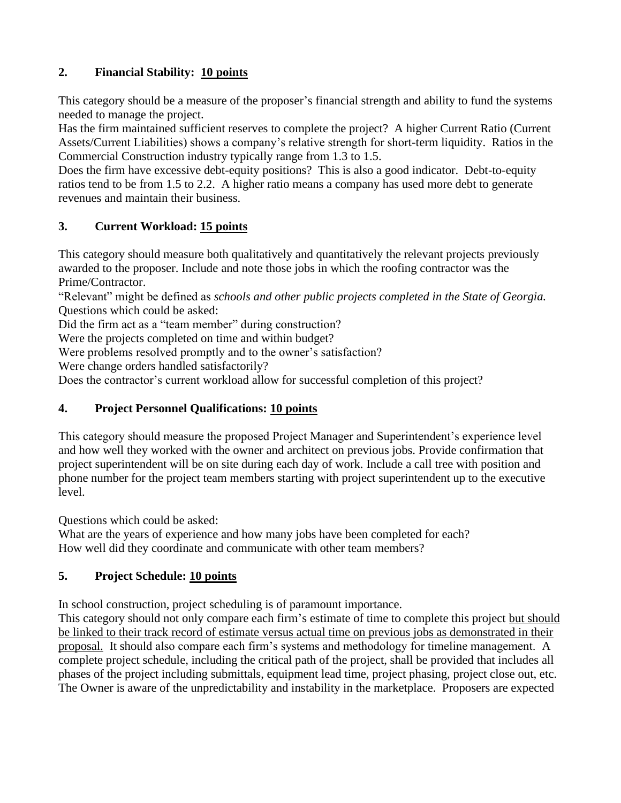# **2. Financial Stability: 10 points**

This category should be a measure of the proposer's financial strength and ability to fund the systems needed to manage the project.

Has the firm maintained sufficient reserves to complete the project? A higher Current Ratio (Current Assets/Current Liabilities) shows a company's relative strength for short-term liquidity. Ratios in the Commercial Construction industry typically range from 1.3 to 1.5.

Does the firm have excessive debt-equity positions? This is also a good indicator. Debt-to-equity ratios tend to be from 1.5 to 2.2. A higher ratio means a company has used more debt to generate revenues and maintain their business.

# **3. Current Workload: 15 points**

This category should measure both qualitatively and quantitatively the relevant projects previously awarded to the proposer. Include and note those jobs in which the roofing contractor was the Prime/Contractor.

"Relevant" might be defined as *schools and other public projects completed in the State of Georgia.* Questions which could be asked:

Did the firm act as a "team member" during construction?

Were the projects completed on time and within budget?

Were problems resolved promptly and to the owner's satisfaction?

Were change orders handled satisfactorily?

Does the contractor's current workload allow for successful completion of this project?

## **4. Project Personnel Qualifications: 10 points**

This category should measure the proposed Project Manager and Superintendent's experience level and how well they worked with the owner and architect on previous jobs. Provide confirmation that project superintendent will be on site during each day of work. Include a call tree with position and phone number for the project team members starting with project superintendent up to the executive level.

Questions which could be asked:

What are the years of experience and how many jobs have been completed for each? How well did they coordinate and communicate with other team members?

# **5. Project Schedule: 10 points**

In school construction, project scheduling is of paramount importance.

This category should not only compare each firm's estimate of time to complete this project but should be linked to their track record of estimate versus actual time on previous jobs as demonstrated in their proposal. It should also compare each firm's systems and methodology for timeline management. A complete project schedule, including the critical path of the project, shall be provided that includes all phases of the project including submittals, equipment lead time, project phasing, project close out, etc. The Owner is aware of the unpredictability and instability in the marketplace. Proposers are expected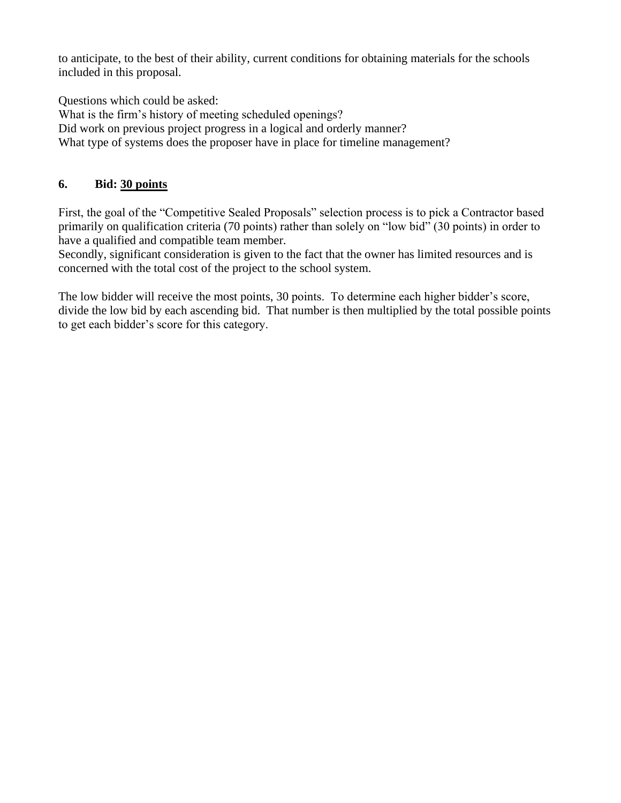to anticipate, to the best of their ability, current conditions for obtaining materials for the schools included in this proposal.

Questions which could be asked:

What is the firm's history of meeting scheduled openings? Did work on previous project progress in a logical and orderly manner?

What type of systems does the proposer have in place for timeline management?

## **6. Bid: 30 points**

First, the goal of the "Competitive Sealed Proposals" selection process is to pick a Contractor based primarily on qualification criteria (70 points) rather than solely on "low bid" (30 points) in order to have a qualified and compatible team member.

Secondly, significant consideration is given to the fact that the owner has limited resources and is concerned with the total cost of the project to the school system.

The low bidder will receive the most points, 30 points. To determine each higher bidder's score, divide the low bid by each ascending bid. That number is then multiplied by the total possible points to get each bidder's score for this category.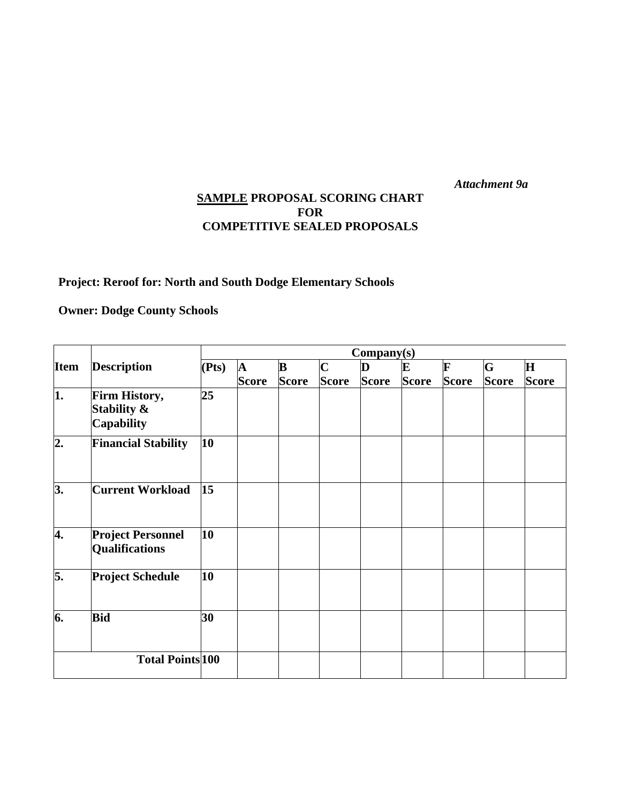*Attachment 9a*

## **SAMPLE PROPOSAL SCORING CHART FOR COMPETITIVE SEALED PROPOSALS**

# **Project: Reroof for: North and South Dodge Elementary Schools**

**Owner: Dodge County Schools**

| <b>Item</b>             | <b>Description</b>                                | Company(s) |                              |                          |                             |                   |                   |                   |                   |                              |
|-------------------------|---------------------------------------------------|------------|------------------------------|--------------------------|-----------------------------|-------------------|-------------------|-------------------|-------------------|------------------------------|
|                         |                                                   | (Pts)      | $\mathbf{A}$<br><b>Score</b> | $\bf{B}$<br><b>Score</b> | $\mathbf C$<br><b>Score</b> | D<br><b>Score</b> | E<br><b>Score</b> | F<br><b>Score</b> | G<br><b>Score</b> | $\mathbf{H}$<br><b>Score</b> |
|                         |                                                   |            |                              |                          |                             |                   |                   |                   |                   |                              |
| $\overline{2}$ .        | <b>Financial Stability</b>                        | 10         |                              |                          |                             |                   |                   |                   |                   |                              |
| 3.                      | <b>Current Workload</b>                           | 15         |                              |                          |                             |                   |                   |                   |                   |                              |
| 4.                      | <b>Project Personnel</b><br><b>Qualifications</b> | 10         |                              |                          |                             |                   |                   |                   |                   |                              |
| 5.                      | <b>Project Schedule</b>                           | 10         |                              |                          |                             |                   |                   |                   |                   |                              |
| 6.                      | <b>Bid</b>                                        | 30         |                              |                          |                             |                   |                   |                   |                   |                              |
| <b>Total Points 100</b> |                                                   |            |                              |                          |                             |                   |                   |                   |                   |                              |